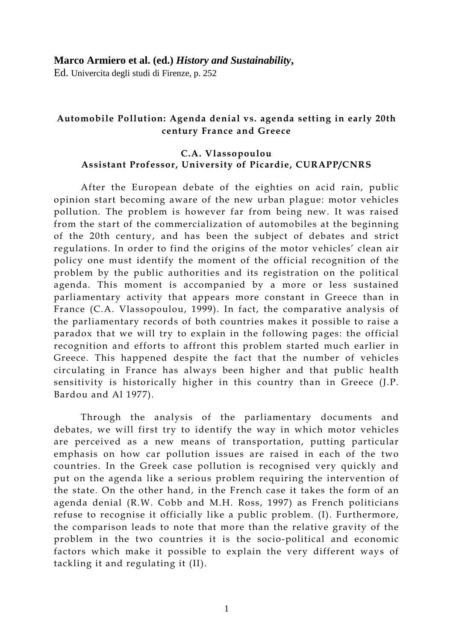# Automobile Pollution: Agenda denial vs. agenda setting in early 20th century France and Greece

## C.A. Vlassopoulou Assistant Professor, University of Picardie, CURAPP/CNRS

After the European debate of the eighties on acid rain, public opinion start becoming aware of the new urban plague: motor vehicles pollution. The problem is however far from being new. It was raised from the start of the commercialization of automobiles at the beginning of the 20th century, and has been the subject of debates and strict regulations. In order to find the origins of the motor vehicles' clean air policy one must identify the moment of the official recognition of the problem by the public authorities and its registration on the political agenda. This moment is accompanied by a more or less sustained parliamentary activity that appears more constant in Greece than in France (C.A. Vlassopoulou, 1999). In fact, the comparative analysis of the parliamentary records of both countries makes it possible to raise a paradox that we will try to explain in the following pages: the official recognition and efforts to affront this problem started much earlier in Greece. This happened despite the fact that the number of vehicles circulating in France has always been higher and that public health sensitivity is historically higher in this country than in Greece (J.P. Bardou and Al 1977).

Through the analysis of the parliamentary documents and debates, we will first try to identify the way in which motor vehicles are perceived as a new means of transportation, putting particular emphasis on how car pollution issues are raised in each of the two countries. In the Greek case pollution is recognised very quickly and put on the agenda like a serious problem requiring the intervention of the state. On the other hand, in the French case it takes the form of an agenda denial (R.W. Cobb and M.H. Ross, 1997) as French politicians refuse to recognise it officially like a public problem. (I). Furthermore, the comparison leads to note that more than the relative gravity of the problem in the two countries it is the socio-political and economic factors which make it possible to explain the very different ways of tackling it and regulating it (II).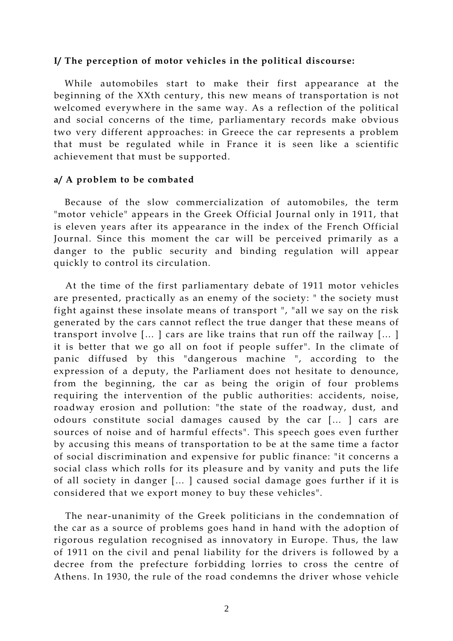### I/ The perception of motor vehicles in the political discourse:

While automobiles start to make their first appearance at the beginning of the XXth century, this new means of transportation is not welcomed everywhere in the same way. As a reflection of the political and social concerns of the time, parliamentary records make obvious two very different approaches: in Greece the car represents a problem that must be regulated while in France it is seen like a scientific achievement that must be supported.

### a/ A problem to be combated

Because of the slow commercialization of automobiles, the term "motor vehicle" appears in the Greek Official Journal only in 1911, that is eleven years after its appearance in the index of the French Official Journal. Since this moment the car will be perceived primarily as a danger to the public security and binding regulation will appear quickly to control its circulation.

At the time of the first parliamentary debate of 1911 motor vehicles are presented, practically as an enemy of the society: " the society must fight against these insolate means of transport ", "all we say on the risk generated by the cars cannot reflect the true danger that these means of transport involve [… ] cars are like trains that run off the railway [… ] it is better that we go all on foot if people suffer". In the climate of panic diffused by this "dangerous machine ", according to the expression of a deputy, the Parliament does not hesitate to denounce, from the beginning, the car as being the origin of four problems requiring the intervention of the public authorities: accidents, noise, roadway erosion and pollution: "the state of the roadway, dust, and odours constitute social damages caused by the car [… ] cars are sources of noise and of harmful effects". This speech goes even further by accusing this means of transportation to be at the same time a factor of social discrimination and expensive for public finance: "it concerns a social class which rolls for its pleasure and by vanity and puts the life of all society in danger [… ] caused social damage goes further if it is considered that we export money to buy these vehicles".

The near-unanimity of the Greek politicians in the condemnation of the car as a source of problems goes hand in hand with the adoption of rigorous regulation recognised as innovatory in Europe. Thus, the law of 1911 on the civil and penal liability for the drivers is followed by a decree from the prefecture forbidding lorries to cross the centre of Athens. In 1930, the rule of the road condemns the driver whose vehicle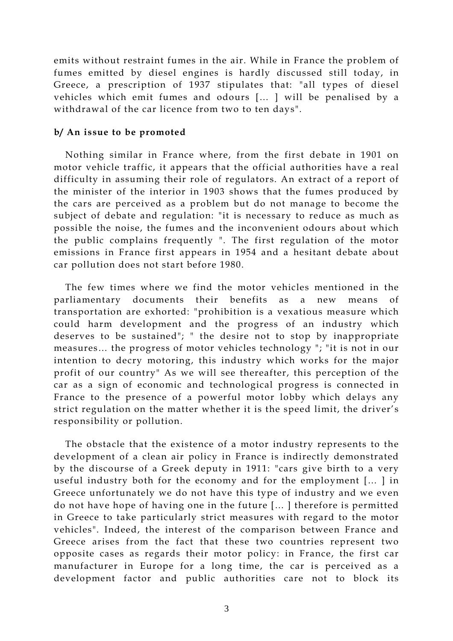emits without restraint fumes in the air. While in France the problem of fumes emitted by diesel engines is hardly discussed still today, in Greece, a prescription of 1937 stipulates that: "all types of diesel vehicles which emit fumes and odours [… ] will be penalised by a withdrawal of the car licence from two to ten days".

### b/ An issue to be promoted

Nothing similar in France where, from the first debate in 1901 on motor vehicle traffic, it appears that the official authorities have a real difficulty in assuming their role of regulators. An extract of a report of the minister of the interior in 1903 shows that the fumes produced by the cars are perceived as a problem but do not manage to become the subject of debate and regulation: "it is necessary to reduce as much as possible the noise, the fumes and the inconvenient odours about which the public complains frequently ". The first regulation of the motor emissions in France first appears in 1954 and a hesitant debate about car pollution does not start before 1980.

The few times where we find the motor vehicles mentioned in the parliamentary documents their benefits as a new means of transportation are exhorted: "prohibition is a vexatious measure which could harm development and the progress of an industry which deserves to be sustained"; " the desire not to stop by inappropriate measures… the progress of motor vehicles technology "; "it is not in our intention to decry motoring, this industry which works for the major profit of our country" As we will see thereafter, this perception of the car as a sign of economic and technological progress is connected in France to the presence of a powerful motor lobby which delays any strict regulation on the matter whether it is the speed limit, the driver's responsibility or pollution.

The obstacle that the existence of a motor industry represents to the development of a clean air policy in France is indirectly demonstrated by the discourse of a Greek deputy in 1911: "cars give birth to a very useful industry both for the economy and for the employment [… ] in Greece unfortunately we do not have this type of industry and we even do not have hope of having one in the future [… ] therefore is permitted in Greece to take particularly strict measures with regard to the motor vehicles". Indeed, the interest of the comparison between France and Greece arises from the fact that these two countries represent two opposite cases as regards their motor policy: in France, the first car manufacturer in Europe for a long time, the car is perceived as a development factor and public authorities care not to block its

3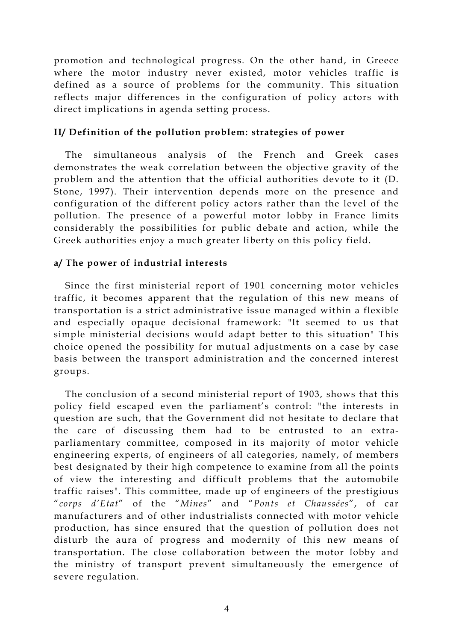promotion and technological progress. On the other hand, in Greece where the motor industry never existed, motor vehicles traffic is defined as a source of problems for the community. This situation reflects major differences in the configuration of policy actors with direct implications in agenda setting process.

## II/ Definition of the pollution problem: strategies of power

The simultaneous analysis of the French and Greek cases demonstrates the weak correlation between the objective gravity of the problem and the attention that the official authorities devote to it (D. Stone, 1997). Their intervention depends more on the presence and configuration of the different policy actors rather than the level of the pollution. The presence of a powerful motor lobby in France limits considerably the possibilities for public debate and action, while the Greek authorities enjoy a much greater liberty on this policy field.

## a/ The power of industrial interests

Since the first ministerial report of 1901 concerning motor vehicles traffic, it becomes apparent that the regulation of this new means of transportation is a strict administrative issue managed within a flexible and especially opaque decisional framework: "It seemed to us that simple ministerial decisions would adapt better to this situation" This choice opened the possibility for mutual adjustments on a case by case basis between the transport administration and the concerned interest groups.

The conclusion of a second ministerial report of 1903, shows that this policy field escaped even the parliament's control: "the interests in question are such, that the Government did not hesitate to declare that the care of discussing them had to be entrusted to an extraparliamentary committee, composed in its majority of motor vehicle engineering experts, of engineers of all categories, namely, of members best designated by their high competence to examine from all the points of view the interesting and difficult problems that the automobile traffic raises". This committee, made up of engineers of the prestigious "corps d'Etat" of the "Mines" and "Ponts et Chaussées", of car manufacturers and of other industrialists connected with motor vehicle production, has since ensured that the question of pollution does not disturb the aura of progress and modernity of this new means of transportation. The close collaboration between the motor lobby and the ministry of transport prevent simultaneously the emergence of severe regulation.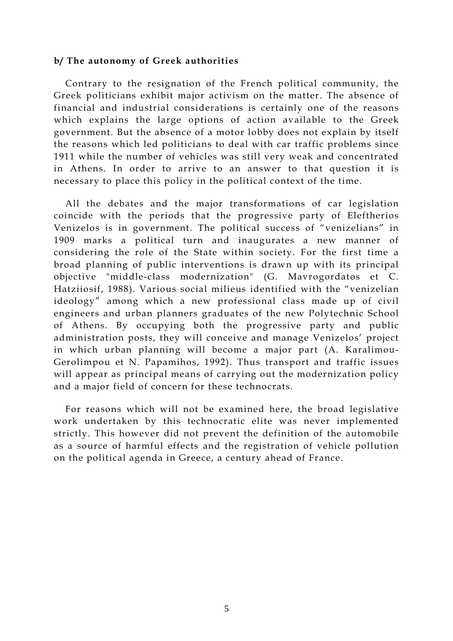#### b/ The autonomy of Greek authorities

Contrary to the resignation of the French political community, the Greek politicians exhibit major activism on the matter. The absence of financial and industrial considerations is certainly one of the reasons which explains the large options of action available to the Greek government. But the absence of a motor lobby does not explain by itself the reasons which led politicians to deal with car traffic problems since 1911 while the number of vehicles was still very weak and concentrated in Athens. In order to arrive to an answer to that question it is necessary to place this policy in the political context of the time.

All the debates and the major transformations of car legislation coincide with the periods that the progressive party of Eleftherios Venizelos is in government. The political success of "venizelians" in 1909 marks a political turn and inaugurates a new manner of considering the role of the State within society. For the first time a broad planning of public interventions is drawn up with its principal objective "middle-class modernization" (G. Mavrogordatos et C. Hatziiosif, 1988). Various social milieus identified with the "venizelian ideology" among which a new professional class made up of civil engineers and urban planners graduates of the new Polytechnic School of Athens. By occupying both the progressive party and public administration posts, they will conceive and manage Venizelos' project in which urban planning will become a major part (A. Karalimou-Gerolimpou et N. Papamihos, 1992). Thus transport and traffic issues will appear as principal means of carrying out the modernization policy and a major field of concern for these technocrats.

For reasons which will not be examined here, the broad legislative work undertaken by this technocratic elite was never implemented strictly. This however did not prevent the definition of the automobile as a source of harmful effects and the registration of vehicle pollution on the political agenda in Greece, a century ahead of France.